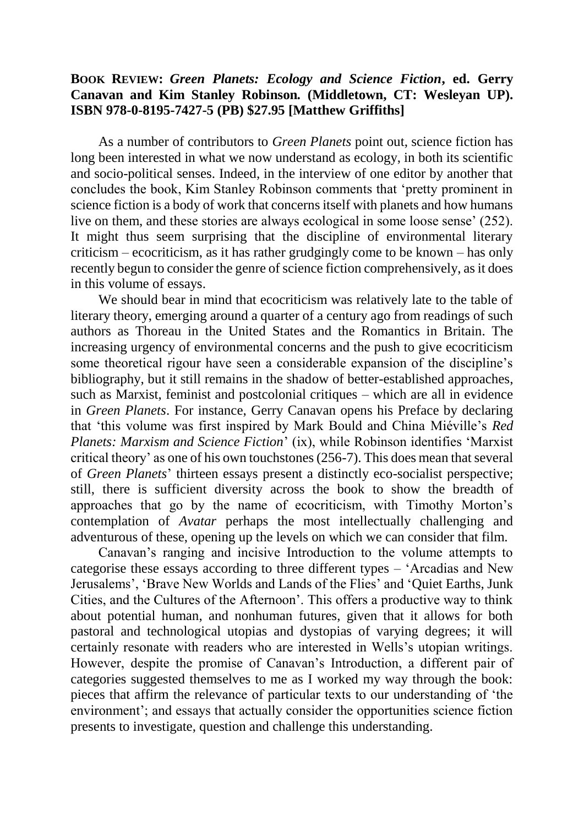## **BOOK REVIEW:** *Green Planets: Ecology and Science Fiction***, ed. Gerry Canavan and Kim Stanley Robinson***.* **(Middletown, CT: Wesleyan UP). ISBN 978-0-8195-7427-5 (PB) \$27.95 [Matthew Griffiths]**

As a number of contributors to *Green Planets* point out, science fiction has long been interested in what we now understand as ecology, in both its scientific and socio-political senses. Indeed, in the interview of one editor by another that concludes the book, Kim Stanley Robinson comments that 'pretty prominent in science fiction is a body of work that concerns itself with planets and how humans live on them, and these stories are always ecological in some loose sense' (252). It might thus seem surprising that the discipline of environmental literary criticism – ecocriticism, as it has rather grudgingly come to be known – has only recently begun to consider the genre of science fiction comprehensively, as it does in this volume of essays.

We should bear in mind that ecocriticism was relatively late to the table of literary theory, emerging around a quarter of a century ago from readings of such authors as Thoreau in the United States and the Romantics in Britain. The increasing urgency of environmental concerns and the push to give ecocriticism some theoretical rigour have seen a considerable expansion of the discipline's bibliography, but it still remains in the shadow of better-established approaches, such as Marxist, feminist and postcolonial critiques – which are all in evidence in *Green Planets*. For instance, Gerry Canavan opens his Preface by declaring that 'this volume was first inspired by Mark Bould and China Miéville's *Red Planets: Marxism and Science Fiction*' (ix), while Robinson identifies 'Marxist critical theory' as one of his own touchstones (256-7). This does mean that several of *Green Planets*' thirteen essays present a distinctly eco-socialist perspective; still, there is sufficient diversity across the book to show the breadth of approaches that go by the name of ecocriticism, with Timothy Morton's contemplation of *Avatar* perhaps the most intellectually challenging and adventurous of these, opening up the levels on which we can consider that film.

Canavan's ranging and incisive Introduction to the volume attempts to categorise these essays according to three different types – 'Arcadias and New Jerusalems', 'Brave New Worlds and Lands of the Flies' and 'Quiet Earths, Junk Cities, and the Cultures of the Afternoon'. This offers a productive way to think about potential human, and nonhuman futures, given that it allows for both pastoral and technological utopias and dystopias of varying degrees; it will certainly resonate with readers who are interested in Wells's utopian writings. However, despite the promise of Canavan's Introduction, a different pair of categories suggested themselves to me as I worked my way through the book: pieces that affirm the relevance of particular texts to our understanding of 'the environment'; and essays that actually consider the opportunities science fiction presents to investigate, question and challenge this understanding.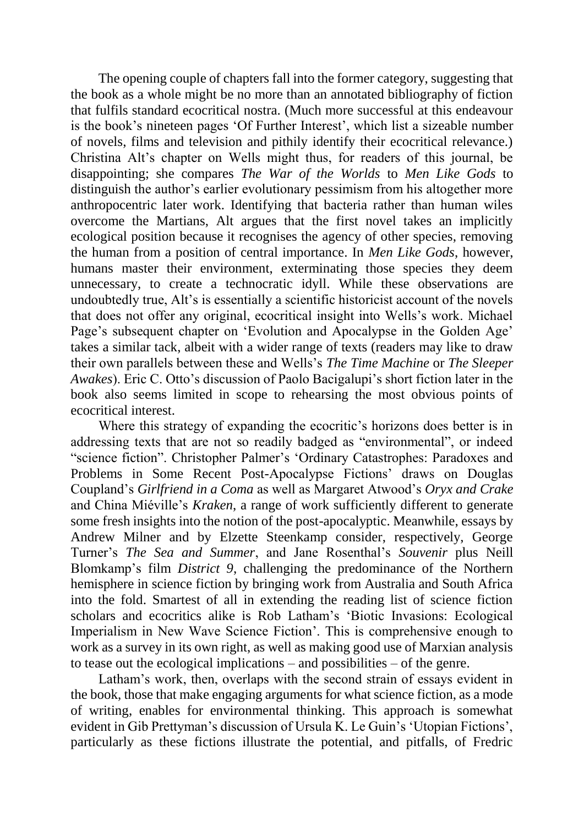The opening couple of chapters fall into the former category, suggesting that the book as a whole might be no more than an annotated bibliography of fiction that fulfils standard ecocritical nostra. (Much more successful at this endeavour is the book's nineteen pages 'Of Further Interest', which list a sizeable number of novels, films and television and pithily identify their ecocritical relevance.) Christina Alt's chapter on Wells might thus, for readers of this journal, be disappointing; she compares *The War of the Worlds* to *Men Like Gods* to distinguish the author's earlier evolutionary pessimism from his altogether more anthropocentric later work. Identifying that bacteria rather than human wiles overcome the Martians, Alt argues that the first novel takes an implicitly ecological position because it recognises the agency of other species, removing the human from a position of central importance. In *Men Like Gods*, however, humans master their environment, exterminating those species they deem unnecessary, to create a technocratic idyll. While these observations are undoubtedly true, Alt's is essentially a scientific historicist account of the novels that does not offer any original, ecocritical insight into Wells's work. Michael Page's subsequent chapter on 'Evolution and Apocalypse in the Golden Age' takes a similar tack, albeit with a wider range of texts (readers may like to draw their own parallels between these and Wells's *The Time Machine* or *The Sleeper Awakes*). Eric C. Otto's discussion of Paolo Bacigalupi's short fiction later in the book also seems limited in scope to rehearsing the most obvious points of ecocritical interest.

Where this strategy of expanding the ecocritic's horizons does better is in addressing texts that are not so readily badged as "environmental", or indeed "science fiction". Christopher Palmer's 'Ordinary Catastrophes: Paradoxes and Problems in Some Recent Post-Apocalypse Fictions' draws on Douglas Coupland's *Girlfriend in a Coma* as well as Margaret Atwood's *Oryx and Crake* and China Miéville's *Kraken*, a range of work sufficiently different to generate some fresh insights into the notion of the post-apocalyptic. Meanwhile, essays by Andrew Milner and by Elzette Steenkamp consider, respectively, George Turner's *The Sea and Summer*, and Jane Rosenthal's *Souvenir* plus Neill Blomkamp's film *District 9*, challenging the predominance of the Northern hemisphere in science fiction by bringing work from Australia and South Africa into the fold. Smartest of all in extending the reading list of science fiction scholars and ecocritics alike is Rob Latham's 'Biotic Invasions: Ecological Imperialism in New Wave Science Fiction'. This is comprehensive enough to work as a survey in its own right, as well as making good use of Marxian analysis to tease out the ecological implications – and possibilities – of the genre.

Latham's work, then, overlaps with the second strain of essays evident in the book, those that make engaging arguments for what science fiction, as a mode of writing, enables for environmental thinking. This approach is somewhat evident in Gib Prettyman's discussion of Ursula K. Le Guin's 'Utopian Fictions', particularly as these fictions illustrate the potential, and pitfalls, of Fredric